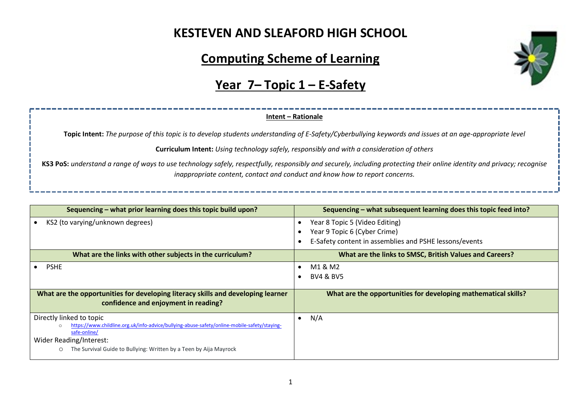# **KESTEVEN AND SLEAFORD HIGH SCHOOL**

# **Computing Scheme of Learning**

# **Year 7– Topic 1 – E-Safety**

### **Intent – Rationale**

**Topic Intent:** *The purpose of this topic is to develop students understanding of E-Safety/Cyberbullying keywords and issues at an age-appropriate level*

**Curriculum Intent:** *Using technology safely, responsibly and with a consideration of others*

**KS3 PoS:** *understand a range of ways to use technology safely, respectfully, responsibly and securely, including protecting their online identity and privacy; recognise inappropriate content, contact and conduct and know how to report concerns.*

| Sequencing – what prior learning does this topic build upon?                                                                             | Sequencing – what subsequent learning does this topic feed into? |  |
|------------------------------------------------------------------------------------------------------------------------------------------|------------------------------------------------------------------|--|
| KS2 (to varying/unknown degrees)                                                                                                         | Year 8 Topic 5 (Video Editing)                                   |  |
|                                                                                                                                          | Year 9 Topic 6 (Cyber Crime)                                     |  |
|                                                                                                                                          | E-Safety content in assemblies and PSHE lessons/events           |  |
| What are the links with other subjects in the curriculum?                                                                                | What are the links to SMSC, British Values and Careers?          |  |
| <b>PSHE</b>                                                                                                                              | M1 & M2                                                          |  |
|                                                                                                                                          | <b>BV4 &amp; BV5</b>                                             |  |
|                                                                                                                                          |                                                                  |  |
| What are the opportunities for developing literacy skills and developing learner<br>confidence and enjoyment in reading?                 | What are the opportunities for developing mathematical skills?   |  |
| Directly linked to topic<br>https://www.childline.org.uk/info-advice/bullying-abuse-safety/online-mobile-safety/staying-<br>safe-online/ | N/A<br>$\bullet$                                                 |  |
| Wider Reading/Interest:                                                                                                                  |                                                                  |  |
| The Survival Guide to Bullying: Written by a Teen by Aija Mayrock<br>O                                                                   |                                                                  |  |

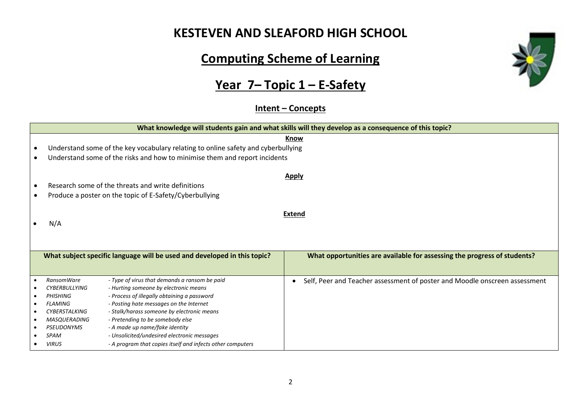### **KESTEVEN AND SLEAFORD HIGH SCHOOL**

# **Computing Scheme of Learning**

# **Year 7– Topic 1 – E-Safety**

#### **Intent – Concepts**